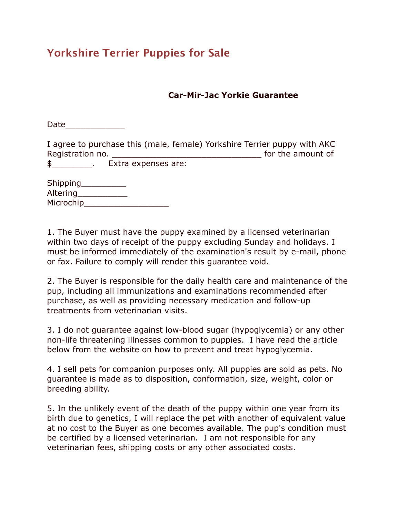## **Yorkshire Terrier Puppies for Sale**

## **Car-Mir-Jac Yorkie Guarantee**

Date\_\_\_\_\_\_\_\_\_\_\_\_

I agree to purchase this (male, female) Yorkshire Terrier puppy with AKC Registration no. \_\_\_\_\_\_\_\_\_\_\_\_\_\_\_\_\_\_\_\_\_\_\_\_\_\_\_\_\_\_ for the amount of \$\_\_\_\_\_\_\_\_. Extra expenses are:

| Shipping  |  |
|-----------|--|
| Altering  |  |
| Microchip |  |

1. The Buyer must have the puppy examined by a licensed veterinarian within two days of receipt of the puppy excluding Sunday and holidays. I must be informed immediately of the examination's result by e-mail, phone or fax. Failure to comply will render this guarantee void.

2. The Buyer is responsible for the daily health care and maintenance of the pup, including all immunizations and examinations recommended after purchase, as well as providing necessary medication and follow-up treatments from veterinarian visits.

3. I do not guarantee against low-blood sugar (hypoglycemia) or any other non-life threatening illnesses common to puppies. I have read the article below from the website on how to prevent and treat hypoglycemia.

4. I sell pets for companion purposes only. All puppies are sold as pets. No guarantee is made as to disposition, conformation, size, weight, color or breeding ability.

5. In the unlikely event of the death of the puppy within one year from its birth due to genetics, I will replace the pet with another of equivalent value at no cost to the Buyer as one becomes available. The pup's condition must be certified by a licensed veterinarian. I am not responsible for any veterinarian fees, shipping costs or any other associated costs.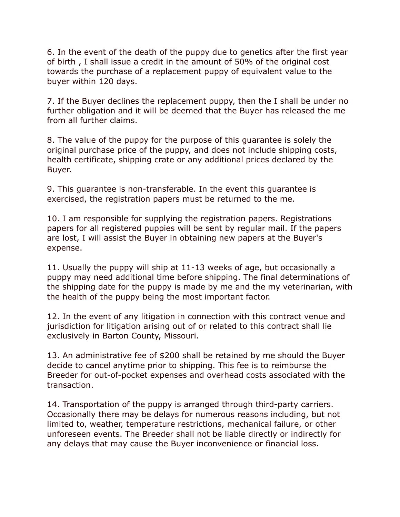6. In the event of the death of the puppy due to genetics after the first year of birth , I shall issue a credit in the amount of 50% of the original cost towards the purchase of a replacement puppy of equivalent value to the buyer within 120 days.

7. If the Buyer declines the replacement puppy, then the I shall be under no further obligation and it will be deemed that the Buyer has released the me from all further claims.

8. The value of the puppy for the purpose of this guarantee is solely the original purchase price of the puppy, and does not include shipping costs, health certificate, shipping crate or any additional prices declared by the Buyer.

9. This guarantee is non-transferable. In the event this guarantee is exercised, the registration papers must be returned to the me.

10. I am responsible for supplying the registration papers. Registrations papers for all registered puppies will be sent by regular mail. If the papers are lost, I will assist the Buyer in obtaining new papers at the Buyer's expense.

11. Usually the puppy will ship at 11-13 weeks of age, but occasionally a puppy may need additional time before shipping. The final determinations of the shipping date for the puppy is made by me and the my veterinarian, with the health of the puppy being the most important factor.

12. In the event of any litigation in connection with this contract venue and jurisdiction for litigation arising out of or related to this contract shall lie exclusively in Barton County, Missouri.

13. An administrative fee of \$200 shall be retained by me should the Buyer decide to cancel anytime prior to shipping. This fee is to reimburse the Breeder for out-of-pocket expenses and overhead costs associated with the transaction.

14. Transportation of the puppy is arranged through third-party carriers. Occasionally there may be delays for numerous reasons including, but not limited to, weather, temperature restrictions, mechanical failure, or other unforeseen events. The Breeder shall not be liable directly or indirectly for any delays that may cause the Buyer inconvenience or financial loss.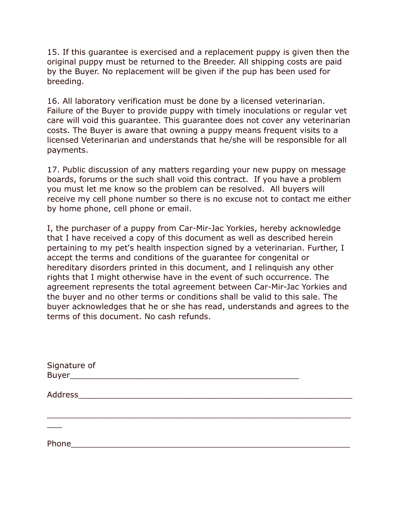15. If this guarantee is exercised and a replacement puppy is given then the original puppy must be returned to the Breeder. All shipping costs are paid by the Buyer. No replacement will be given if the pup has been used for breeding.

16. All laboratory verification must be done by a licensed veterinarian. Failure of the Buyer to provide puppy with timely inoculations or regular vet care will void this guarantee. This guarantee does not cover any veterinarian costs. The Buyer is aware that owning a puppy means frequent visits to a licensed Veterinarian and understands that he/she will be responsible for all payments.

17. Public discussion of any matters regarding your new puppy on message boards, forums or the such shall void this contract. If you have a problem you must let me know so the problem can be resolved. All buyers will receive my cell phone number so there is no excuse not to contact me either by home phone, cell phone or email.

I, the purchaser of a puppy from Car-Mir-Jac Yorkies, hereby acknowledge that I have received a copy of this document as well as described herein pertaining to my pet's health inspection signed by a veterinarian. Further, I accept the terms and conditions of the guarantee for congenital or hereditary disorders printed in this document, and I relinquish any other rights that I might otherwise have in the event of such occurrence. The agreement represents the total agreement between Car-Mir-Jac Yorkies and the buyer and no other terms or conditions shall be valid to this sale. The buyer acknowledges that he or she has read, understands and agrees to the terms of this document. No cash refunds.

| Phone |  |  |
|-------|--|--|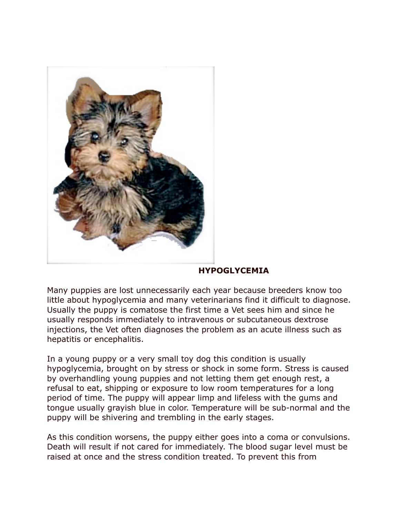

## **HYPOGLYCEMIA**

Many puppies are lost unnecessarily each year because breeders know too little about hypoglycemia and many veterinarians find it difficult to diagnose. Usually the puppy is comatose the first time a Vet sees him and since he usually responds immediately to intravenous or subcutaneous dextrose injections, the Vet often diagnoses the problem as an acute illness such as hepatitis or encephalitis.

In a young puppy or a very small toy dog this condition is usually hypoglycemia, brought on by stress or shock in some form. Stress is caused by overhandling young puppies and not letting them get enough rest, a refusal to eat, shipping or exposure to low room temperatures for a long period of time. The puppy will appear limp and lifeless with the gums and tongue usually grayish blue in color. Temperature will be sub-normal and the puppy will be shivering and trembling in the early stages.

As this condition worsens, the puppy either goes into a coma or convulsions. Death will result if not cared for immediately. The blood sugar level must be raised at once and the stress condition treated. To prevent this from